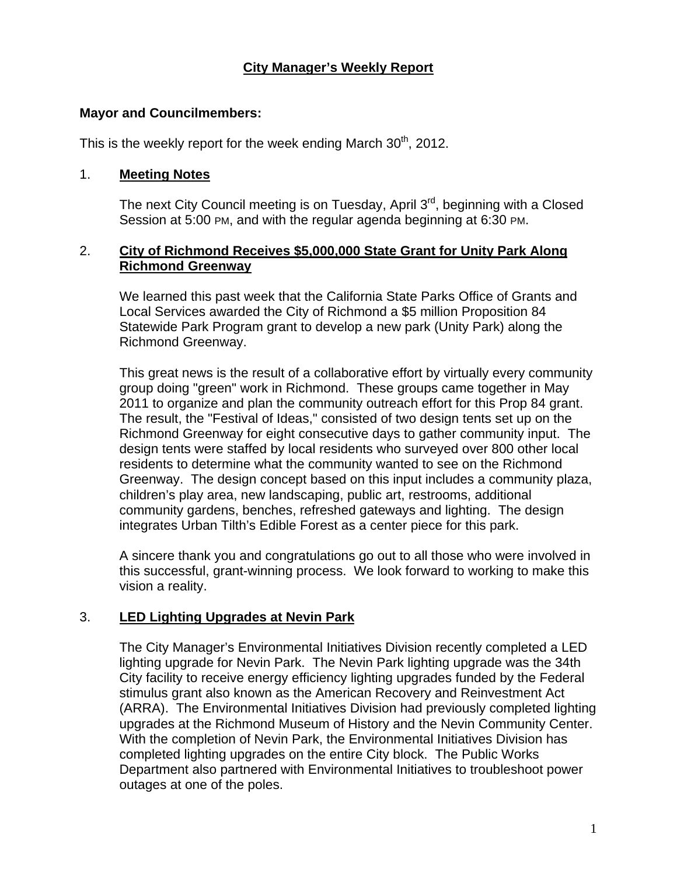# **City Manager's Weekly Report**

### **Mayor and Councilmembers:**

This is the weekly report for the week ending March  $30<sup>th</sup>$ , 2012.

### 1. **Meeting Notes**

The next City Council meeting is on Tuesday, April 3<sup>rd</sup>, beginning with a Closed Session at 5:00 PM, and with the regular agenda beginning at 6:30 PM.

### 2. **City of Richmond Receives \$5,000,000 State Grant for Unity Park Along Richmond Greenway**

We learned this past week that the California State Parks Office of Grants and Local Services awarded the City of Richmond a \$5 million Proposition 84 Statewide Park Program grant to develop a new park (Unity Park) along the Richmond Greenway.

This great news is the result of a collaborative effort by virtually every community group doing "green" work in Richmond. These groups came together in May 2011 to organize and plan the community outreach effort for this Prop 84 grant. The result, the "Festival of Ideas," consisted of two design tents set up on the Richmond Greenway for eight consecutive days to gather community input. The design tents were staffed by local residents who surveyed over 800 other local residents to determine what the community wanted to see on the Richmond Greenway. The design concept based on this input includes a community plaza, children's play area, new landscaping, public art, restrooms, additional community gardens, benches, refreshed gateways and lighting. The design integrates Urban Tilth's Edible Forest as a center piece for this park.

A sincere thank you and congratulations go out to all those who were involved in this successful, grant-winning process. We look forward to working to make this vision a reality.

## 3. **LED Lighting Upgrades at Nevin Park**

The City Manager's Environmental Initiatives Division recently completed a LED lighting upgrade for Nevin Park. The Nevin Park lighting upgrade was the 34th City facility to receive energy efficiency lighting upgrades funded by the Federal stimulus grant also known as the American Recovery and Reinvestment Act (ARRA). The Environmental Initiatives Division had previously completed lighting upgrades at the Richmond Museum of History and the Nevin Community Center. With the completion of Nevin Park, the Environmental Initiatives Division has completed lighting upgrades on the entire City block. The Public Works Department also partnered with Environmental Initiatives to troubleshoot power outages at one of the poles.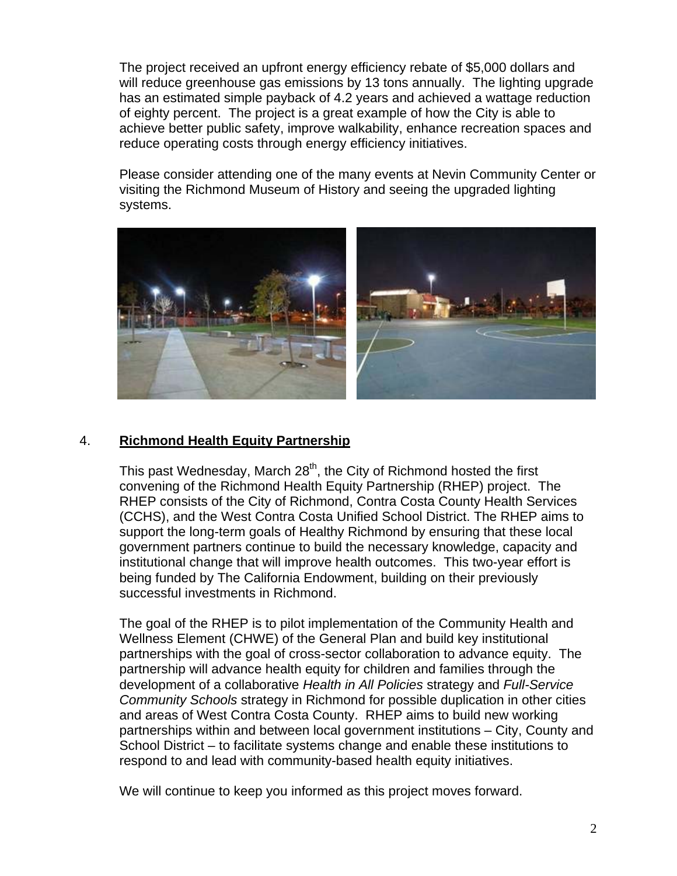The project received an upfront energy efficiency rebate of \$5,000 dollars and will reduce greenhouse gas emissions by 13 tons annually. The lighting upgrade has an estimated simple payback of 4.2 years and achieved a wattage reduction of eighty percent. The project is a great example of how the City is able to achieve better public safety, improve walkability, enhance recreation spaces and reduce operating costs through energy efficiency initiatives.

Please consider attending one of the many events at Nevin Community Center or visiting the Richmond Museum of History and seeing the upgraded lighting systems.



# 4. **Richmond Health Equity Partnership**

This past Wednesday, March  $28<sup>th</sup>$ , the City of Richmond hosted the first convening of the Richmond Health Equity Partnership (RHEP) project. The RHEP consists of the City of Richmond, Contra Costa County Health Services (CCHS), and the West Contra Costa Unified School District. The RHEP aims to support the long-term goals of Healthy Richmond by ensuring that these local government partners continue to build the necessary knowledge, capacity and institutional change that will improve health outcomes. This two-year effort is being funded by The California Endowment, building on their previously successful investments in Richmond.

The goal of the RHEP is to pilot implementation of the Community Health and Wellness Element (CHWE) of the General Plan and build key institutional partnerships with the goal of cross-sector collaboration to advance equity. The partnership will advance health equity for children and families through the development of a collaborative *Health in All Policies* strategy and *Full-Service Community Schools* strategy in Richmond for possible duplication in other cities and areas of West Contra Costa County. RHEP aims to build new working partnerships within and between local government institutions – City, County and School District – to facilitate systems change and enable these institutions to respond to and lead with community-based health equity initiatives.

We will continue to keep you informed as this project moves forward.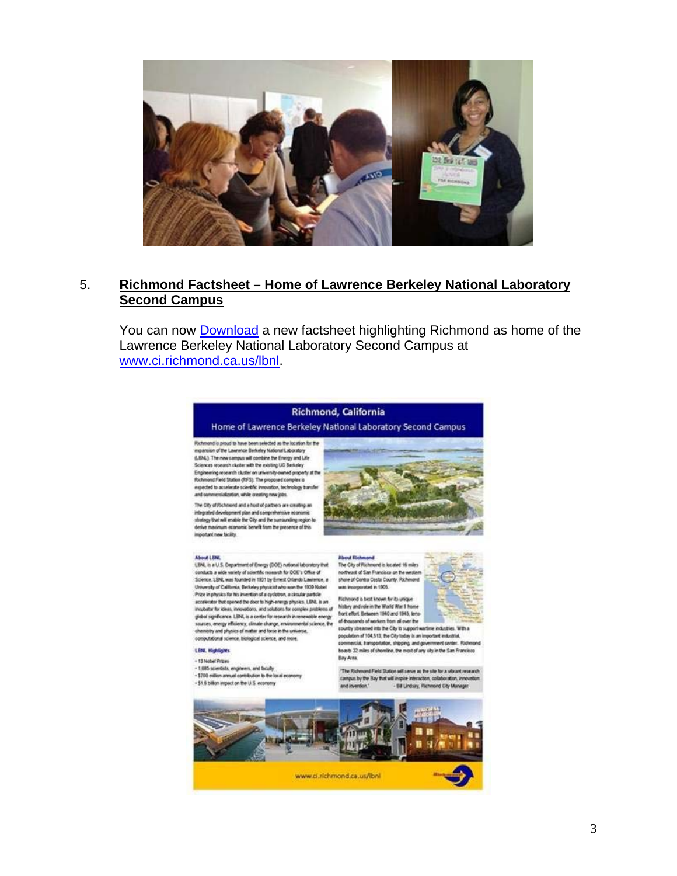

### 5. **Richmond Factsheet – Home of Lawrence Berkeley National Laboratory Second Campus**

You can now **[Download](http://www.ci.richmond.ca.us/DocumentView.aspx?DID=8443)** a new factsheet highlighting Richmond as home of the Lawrence Berkeley National Laboratory Second Campus at [www.ci.richmond.ca.us/lbnl.](http://www.ci.richmond.ca.us/lbnl)

### **Richmond, California**

Home of Lawrence Berkeley National Laboratory Second Campus

Richmond is proud to have been selected as the location for the<br>mpansion of the Lawrence Berkeley National Laboratory (LBNL) The new campus will combine the Energy and Life<br>Sciences research cluster with the existing UC Berkeley Engineering research cluster on university-owned property at the<br>Richmond Field Station (RFS). The proposed complex is expected to accelerate scientific innovation, technology transfer and commercialization, while creating new jobs.

The City of Flichmond and a host of partners are creating an integrated development plan and comprehensive economic<br>strategy that will enable the City and the sumauriting region to derive maximum economic benefit from the presence of this important new facility

#### **About LENL**

LBNL is a U.S. Department of Energy (DOE) national laboratory that conducts a wide variety of scientific research for DOE's Office of Science. LBN, was founded in 1931 by Emest Orlando Lawrence, a<br>University of California, Berkeley physical who won the 1939 Nobel Prize in physics for his invertion of a cyclotron, a circular particle<br>accelerator that opened the door to high-energy physics. LBML is an incubator for ideas, innovations, and solutions for complex problems of global significance. LBNL is a center for research in renewable energy sources, energy efficiency, climate change, environmental science, the<br>chemistry and physics of matter and force in the universe.

computational science, biological science, and more.

### **LENL Highlights**

+ 13 Nobel Prizes

· 1,685 scientists, engineers, and faculty - \$700 million annual contribution to the local economy - \$1.6 billion impact on the U.S. economy



#### **About Richmond** The City of Richmond is located 16 miles

notheast of San Francisco on the western share of Contra Costa County. Richmond. was incorporated in 1905. Fichmond is best known for its unique



history and role in the World War 8 home<br>front effort Between 1940 and 1945, tens-

of thousands of workers from all over the<br>country streamed into the City to support wartime industries. With a population of 104.513, the City today is an important industrial. commercial, transportation, shipping, and government center. Richmond boasts 32 miles of shoreline, the most of any city in the San Francisco **Bay Area** 

"The Richmond Field Station will serve as the site for a vibrant research campus by the Bay that will implie interaction, collaboration, innov. - Bill Lindsay, Pichmond City Manager and invention."

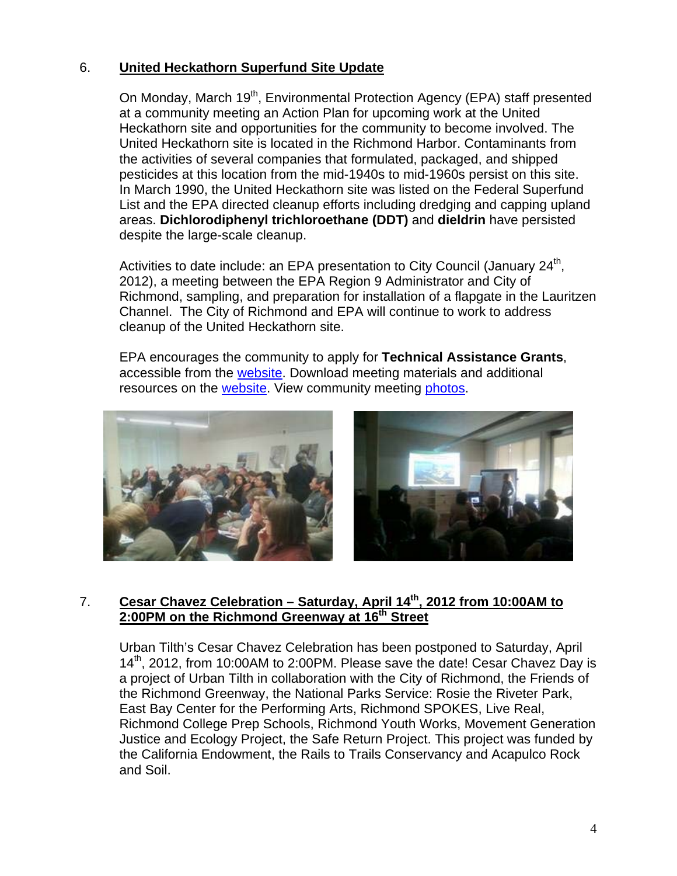# 6. **United Heckathorn Superfund Site Update**

On Monday, March 19<sup>th</sup>, Environmental Protection Agency (EPA) staff presented at a community meeting an Action Plan for upcoming work at the United Heckathorn site and opportunities for the community to become involved. The United Heckathorn site is located in the Richmond Harbor. Contaminants from the activities of several companies that formulated, packaged, and shipped pesticides at this location from the mid-1940s to mid-1960s persist on this site. In March 1990, the United Heckathorn site was listed on the Federal Superfund List and the EPA directed cleanup efforts including dredging and capping upland areas. **Dichlorodiphenyl trichloroethane (DDT)** and **dieldrin** have persisted despite the large-scale cleanup.

Activities to date include: an EPA presentation to City Council (January  $24<sup>th</sup>$ , 2012), a meeting between the EPA Region 9 Administrator and City of Richmond, sampling, and preparation for installation of a flapgate in the Lauritzen Channel. The City of Richmond and EPA will continue to work to address cleanup of the United Heckathorn site.

EPA encourages the community to apply for **Technical Assistance Grants**, accessible from the [website](http://www.ci.richmond.ca.us/index.aspx?NID=2579). Download meeting materials and additional resources on the [website](http://www.ci.richmond.ca.us/index.aspx?NID=2579). View community meeting [photos.](http://www.flickr.com/photos/richmondenvironment/sets/72157629638257209/)



# 7. **Cesar Chavez Celebration – Saturday, April 14<sup>th</sup>, 2012 from 10:00AM to** 2:00PM on the Richmond Greenway at 16<sup>th</sup> Street

Urban Tilth's Cesar Chavez Celebration has been postponed to Saturday, April 14<sup>th</sup>, 2012, from 10:00AM to 2:00PM. Please save the date! Cesar Chavez Day is a project of Urban Tilth in collaboration with the City of Richmond, the Friends of the Richmond Greenway, the National Parks Service: Rosie the Riveter Park, East Bay Center for the Performing Arts, Richmond SPOKES, Live Real, Richmond College Prep Schools, Richmond Youth Works, Movement Generation Justice and Ecology Project, the Safe Return Project. This project was funded by the California Endowment, the Rails to Trails Conservancy and Acapulco Rock and Soil.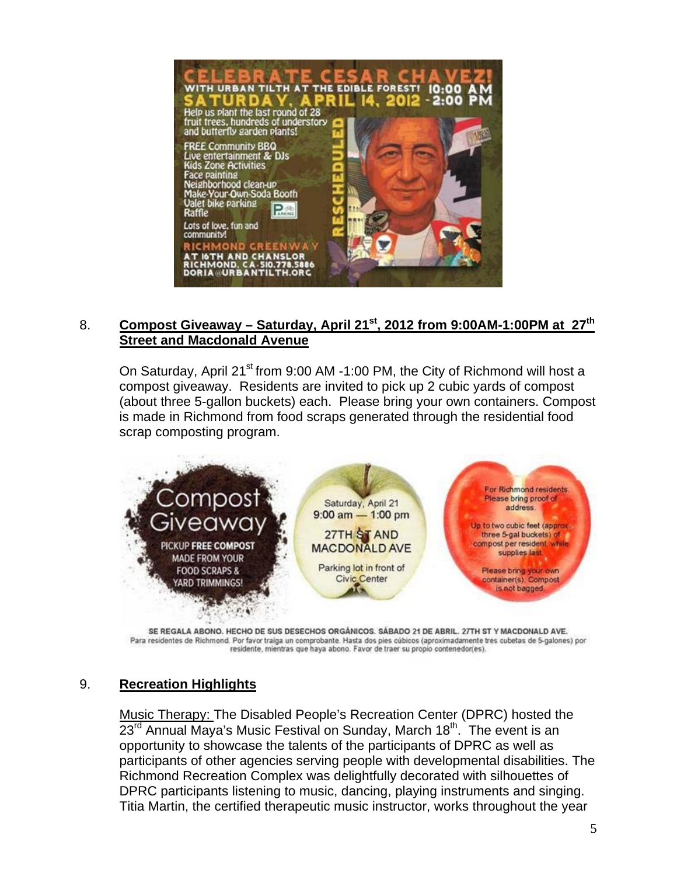

# 8. **Compost Giveaway – Saturday, April 21<sup>st</sup>, 2012 from 9:00AM-1:00PM at 27<sup>th</sup> Street and Macdonald Avenue**

On Saturday, April 21<sup>st</sup> from 9:00 AM -1:00 PM, the City of Richmond will host a compost giveaway. Residents are invited to pick up 2 cubic yards of compost (about three 5-gallon buckets) each. Please bring your own containers. Compost is made in Richmond from food scraps generated through the residential food scrap composting program.



SE REGALA ABONO. HECHO DE SUS DESECHOS ORGÁNICOS. SÁBADO 21 DE ABRIL. 27TH ST Y MACDONALD AVE. Para residentes de Richmond. Por favor traiga un comprobante. Hasta dos pies cúbicos (aproximadamente tres cubetas de 5-galones) por residente, mientras que haya abono. Favor de traer su propio contenedor(es).

## 9. **Recreation Highlights**

Music Therapy: The Disabled People's Recreation Center (DPRC) hosted the  $23<sup>rd</sup>$  Annual Maya's Music Festival on Sunday, March 18<sup>th</sup>. The event is an opportunity to showcase the talents of the participants of DPRC as well as participants of other agencies serving people with developmental disabilities. The Richmond Recreation Complex was delightfully decorated with silhouettes of DPRC participants listening to music, dancing, playing instruments and singing. Titia Martin, the certified therapeutic music instructor, works throughout the year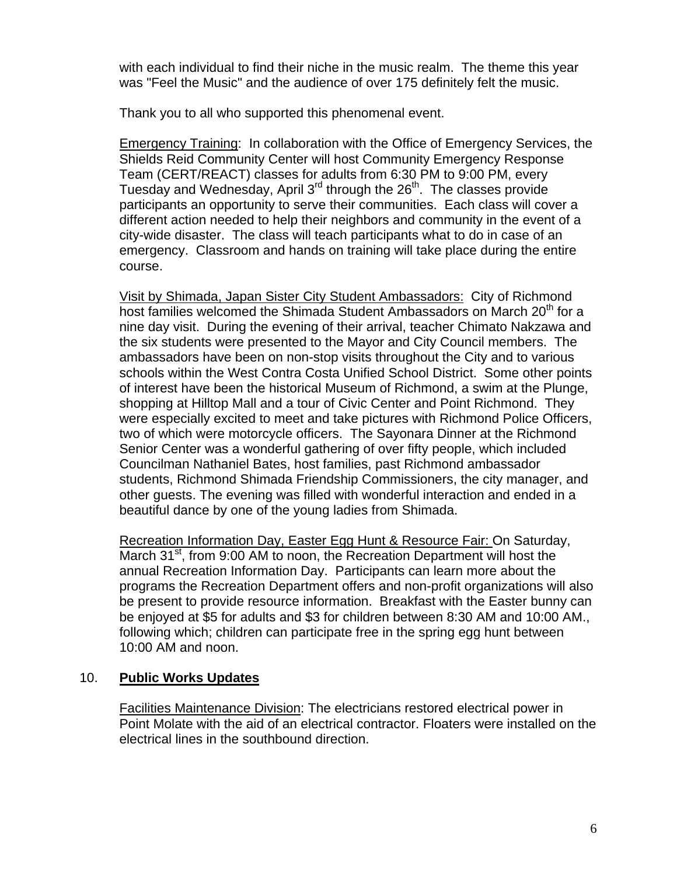with each individual to find their niche in the music realm. The theme this year was "Feel the Music" and the audience of over 175 definitely felt the music.

Thank you to all who supported this phenomenal event.

Emergency Training: In collaboration with the Office of Emergency Services, the Shields Reid Community Center will host Community Emergency Response Team (CERT/REACT) classes for adults from 6:30 PM to 9:00 PM, every Tuesday and Wednesday, April  $3<sup>rd</sup>$  through the  $26<sup>th</sup>$ . The classes provide participants an opportunity to serve their communities. Each class will cover a different action needed to help their neighbors and community in the event of a city-wide disaster. The class will teach participants what to do in case of an emergency. Classroom and hands on training will take place during the entire course.

Visit by Shimada, Japan Sister City Student Ambassadors: City of Richmond host families welcomed the Shimada Student Ambassadors on March 20<sup>th</sup> for a nine day visit. During the evening of their arrival, teacher Chimato Nakzawa and the six students were presented to the Mayor and City Council members. The ambassadors have been on non-stop visits throughout the City and to various schools within the West Contra Costa Unified School District. Some other points of interest have been the historical Museum of Richmond, a swim at the Plunge, shopping at Hilltop Mall and a tour of Civic Center and Point Richmond. They were especially excited to meet and take pictures with Richmond Police Officers, two of which were motorcycle officers. The Sayonara Dinner at the Richmond Senior Center was a wonderful gathering of over fifty people, which included Councilman Nathaniel Bates, host families, past Richmond ambassador students, Richmond Shimada Friendship Commissioners, the city manager, and other guests. The evening was filled with wonderful interaction and ended in a beautiful dance by one of the young ladies from Shimada.

Recreation Information Day, Easter Egg Hunt & Resource Fair: On Saturday, March 31<sup>st</sup>, from 9:00 AM to noon, the Recreation Department will host the annual Recreation Information Day. Participants can learn more about the programs the Recreation Department offers and non-profit organizations will also be present to provide resource information. Breakfast with the Easter bunny can be enjoyed at \$5 for adults and \$3 for children between 8:30 AM and 10:00 AM., following which; children can participate free in the spring egg hunt between 10:00 AM and noon.

# 10. **Public Works Updates**

Facilities Maintenance Division: The electricians restored electrical power in Point Molate with the aid of an electrical contractor. Floaters were installed on the electrical lines in the southbound direction.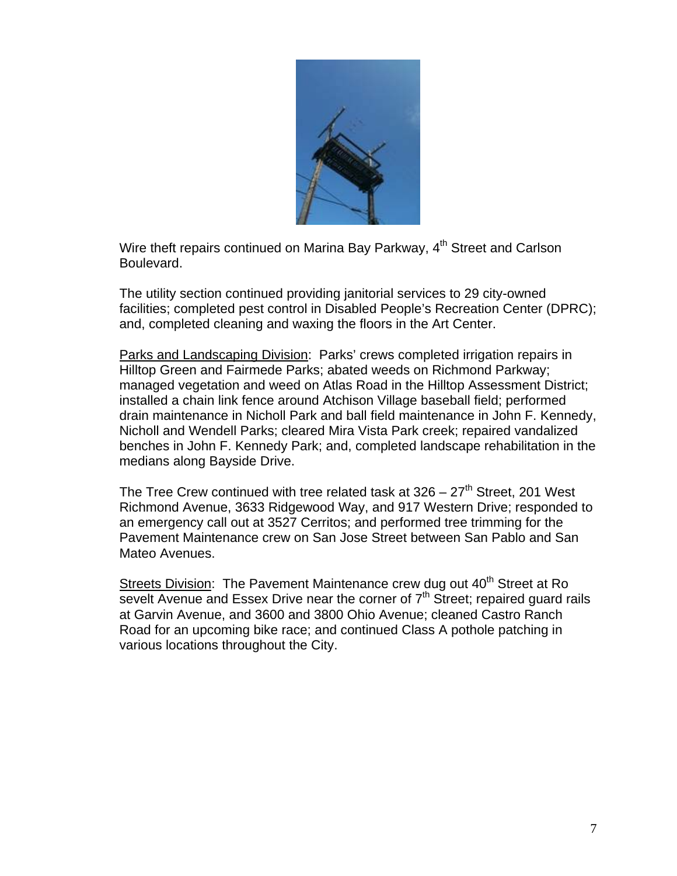

Wire theft repairs continued on Marina Bay Parkway, 4<sup>th</sup> Street and Carlson Boulevard.

The utility section continued providing janitorial services to 29 city-owned facilities; completed pest control in Disabled People's Recreation Center (DPRC); and, completed cleaning and waxing the floors in the Art Center.

Parks and Landscaping Division: Parks' crews completed irrigation repairs in Hilltop Green and Fairmede Parks; abated weeds on Richmond Parkway; managed vegetation and weed on Atlas Road in the Hilltop Assessment District; installed a chain link fence around Atchison Village baseball field; performed drain maintenance in Nicholl Park and ball field maintenance in John F. Kennedy, Nicholl and Wendell Parks; cleared Mira Vista Park creek; repaired vandalized benches in John F. Kennedy Park; and, completed landscape rehabilitation in the medians along Bayside Drive.

The Tree Crew continued with tree related task at  $326 - 27$ <sup>th</sup> Street, 201 West Richmond Avenue, 3633 Ridgewood Way, and 917 Western Drive; responded to an emergency call out at 3527 Cerritos; and performed tree trimming for the Pavement Maintenance crew on San Jose Street between San Pablo and San Mateo Avenues.

Streets Division: The Pavement Maintenance crew dug out 40<sup>th</sup> Street at Ro sevelt Avenue and Essex Drive near the corner of  $7<sup>th</sup>$  Street; repaired guard rails at Garvin Avenue, and 3600 and 3800 Ohio Avenue; cleaned Castro Ranch Road for an upcoming bike race; and continued Class A pothole patching in various locations throughout the City.